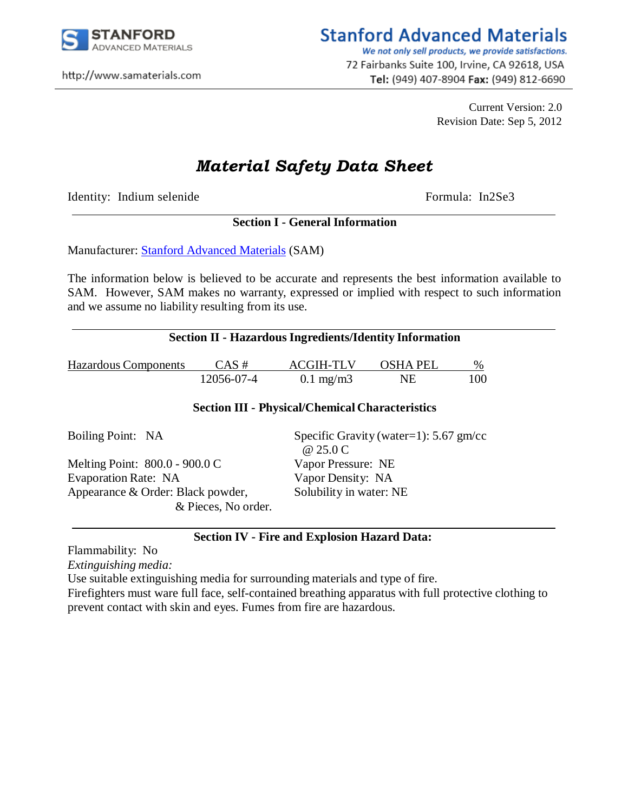

http://www.samaterials.com

# **Stanford Advanced Materials**

We not only sell products, we provide satisfactions. 72 Fairbanks Suite 100, Irvine, CA 92618, USA Tel: (949) 407-8904 Fax: (949) 812-6690

> Current Version: 2.0 Revision Date: Sep 5, 2012

# *Material Safety Data Sheet*

Identity: Indium selenide Formula: In2Se3

# **Section I - General Information**

Manufacturer: [Stanford Advanced Materials](http://www.sputtertargets.net/) (SAM)

The information below is believed to be accurate and represents the best information available to SAM. However, SAM makes no warranty, expressed or implied with respect to such information and we assume no liability resulting from its use.

### **Section II - Hazardous Ingredients/Identity Information**

| <b>Hazardous Components</b> | $CAS \#$   | <b>ACGIH-TLV</b>   | <b>OSHA PEL</b> | $\%$ |
|-----------------------------|------------|--------------------|-----------------|------|
|                             | 12056-07-4 | $0.1 \text{ mg/m}$ | NF              | 100  |

### **Section III - Physical/Chemical Characteristics**

| Specific Gravity (water=1): $5.67$ gm/cc<br>@ 25.0 C |  |
|------------------------------------------------------|--|
| Vapor Pressure: NE                                   |  |
|                                                      |  |
| Vapor Density: NA                                    |  |
| Solubility in water: NE                              |  |
|                                                      |  |
|                                                      |  |

# **Section IV - Fire and Explosion Hazard Data:**

Flammability: No

*Extinguishing media:*

Use suitable extinguishing media for surrounding materials and type of fire.

Firefighters must ware full face, self-contained breathing apparatus with full protective clothing to prevent contact with skin and eyes. Fumes from fire are hazardous.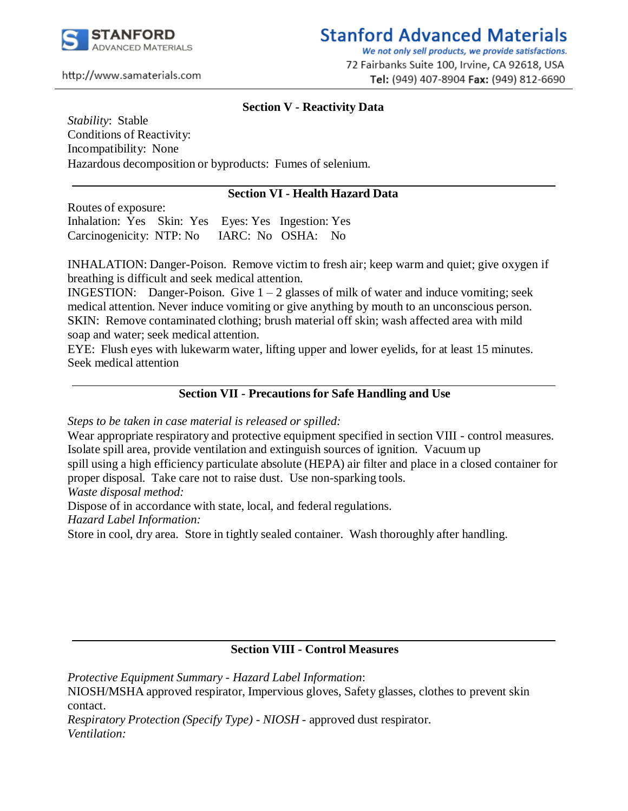

# **Stanford Advanced Materials**

We not only sell products, we provide satisfactions. 72 Fairbanks Suite 100, Irvine, CA 92618, USA Tel: (949) 407-8904 Fax: (949) 812-6690

#### http://www.samaterials.com

### **Section V - Reactivity Data**

*Stability*: Stable Conditions of Reactivity: Incompatibility: None Hazardous decomposition or byproducts: Fumes of selenium.

## **Section VI - Health Hazard Data**

Routes of exposure: Inhalation: Yes Skin: Yes Eyes: Yes Ingestion: Yes Carcinogenicity: NTP: No IARC: No OSHA: No

INHALATION: Danger-Poison. Remove victim to fresh air; keep warm and quiet; give oxygen if breathing is difficult and seek medical attention.

INGESTION: Danger-Poison. Give  $1 - 2$  glasses of milk of water and induce vomiting; seek medical attention. Never induce vomiting or give anything by mouth to an unconscious person. SKIN: Remove contaminated clothing; brush material off skin; wash affected area with mild soap and water; seek medical attention.

EYE: Flush eyes with lukewarm water, lifting upper and lower eyelids, for at least 15 minutes. Seek medical attention

### **Section VII - Precautions for Safe Handling and Use**

*Steps to be taken in case material is released or spilled:*

Wear appropriate respiratory and protective equipment specified in section VIII - control measures. Isolate spill area, provide ventilation and extinguish sources of ignition. Vacuum up spill using a high efficiency particulate absolute (HEPA) air filter and place in a closed container for proper disposal. Take care not to raise dust. Use non-sparking tools.

*Waste disposal method:*

Dispose of in accordance with state, local, and federal regulations.

*Hazard Label Information:*

Store in cool, dry area. Store in tightly sealed container. Wash thoroughly after handling.

### **Section VIII - Control Measures**

*Protective Equipment Summary - Hazard Label Information*: NIOSH/MSHA approved respirator, Impervious gloves, Safety glasses, clothes to prevent skin contact.

*Respiratory Protection (Specify Type) - NIOSH* - approved dust respirator. *Ventilation:*